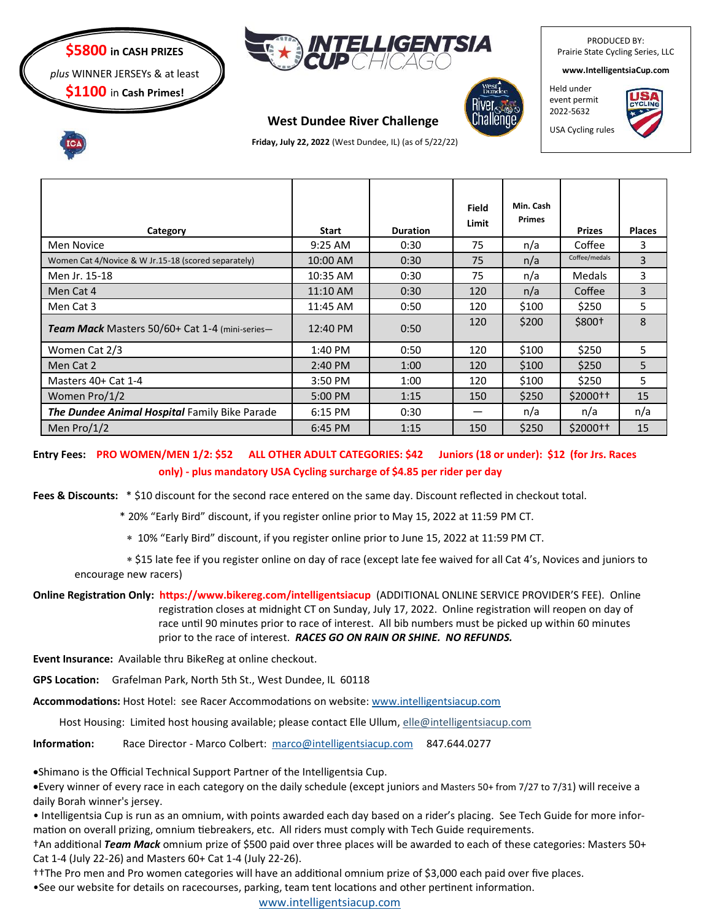

*plus* WINNER JERSEYs & at least





# **West Dundee River Challenge**



**www.IntelligentsiaCup.com**

PRODUCED BY: Prairie State Cycling Series, LLC

Held under event permit 2022-5632

USA Cycling rules



 **Friday, July 22, 2022** (West Dundee, IL) (as of 5/22/22)

| Category                                            | <b>Start</b>      | <b>Duration</b> | <b>Field</b><br>Limit | Min. Cash<br><b>Primes</b> | <b>Prizes</b>       | <b>Places</b> |
|-----------------------------------------------------|-------------------|-----------------|-----------------------|----------------------------|---------------------|---------------|
| Men Novice                                          | 9:25 AM           | 0:30            | 75                    | n/a                        | Coffee              | 3             |
| Women Cat 4/Novice & W Jr.15-18 (scored separately) | 10:00 AM          | 0:30            | 75                    | n/a                        | Coffee/medals       | 3             |
| Men Jr. 15-18                                       | 10:35 AM          | 0:30            | 75                    | n/a                        | <b>Medals</b>       | 3             |
| Men Cat 4                                           | 11:10 AM          | 0:30            | 120                   | n/a                        | Coffee              | 3             |
| Men Cat 3                                           | 11:45 AM          | 0:50            | 120                   | \$100                      | \$250               | 5             |
| Team Mack Masters 50/60+ Cat 1-4 (mini-series-      | 12:40 PM          | 0:50            | 120                   | \$200                      | $$800+$             | 8             |
| Women Cat 2/3                                       | 1:40 PM           | 0:50            | 120                   | \$100                      | \$250               | 5             |
| Men Cat 2                                           | $2:40 \text{ PM}$ | 1:00            | 120                   | \$100                      | \$250               | 5             |
| Masters 40+ Cat 1-4                                 | 3:50 PM           | 1:00            | 120                   | \$100                      | \$250               | 5             |
| Women Pro/1/2                                       | 5:00 PM           | 1:15            | 150                   | \$250                      | \$2000 <sup>†</sup> | 15            |
| The Dundee Animal Hospital Family Bike Parade       | 6:15 PM           | 0:30            |                       | n/a                        | n/a                 | n/a           |
| Men $Pro/1/2$                                       | 6:45 PM           | 1:15            | 150                   | \$250                      | \$2000 <sup>†</sup> | 15            |

**Entry Fees: PRO WOMEN/MEN 1/2: \$52 ALL OTHER ADULT CATEGORIES: \$42 Juniors (18 or under): \$12 (for Jrs. Races only) - plus mandatory USA Cycling surcharge of \$4.85 per rider per day**

**Fees & Discounts:** \* \$10 discount for the second race entered on the same day. Discount reflected in checkout total.

\* 20% "Early Bird" discount, if you register online prior to May 15, 2022 at 11:59 PM CT.

10% "Early Bird" discount, if you register online prior to June 15, 2022 at 11:59 PM CT.

 \$15 late fee if you register online on day of race (except late fee waived for all Cat 4's, Novices and juniors to encourage new racers)

**Online Registration Only: https://www.bikereg.com/intelligentsiacup** (ADDITIONAL ONLINE SERVICE PROVIDER'S FEE). Online registration closes at midnight CT on Sunday, July 17, 2022. Online registration will reopen on day of race until 90 minutes prior to race of interest. All bib numbers must be picked up within 60 minutes prior to the race of interest. *RACES GO ON RAIN OR SHINE. NO REFUNDS.* 

**Event Insurance:** Available thru BikeReg at online checkout.

**GPS Location:** Grafelman Park, North 5th St., West Dundee, IL 60118

**Accommodations:** Host Hotel: see Racer Accommodations on website: [www.intelligentsiacup.com](http://www.intelligentsiacup.com) 

Host Housing: Limited host housing available; please contact Elle Ullum, elle@intelligentsiacup.com

**Information:** Race Director - Marco Colbert: [marco@intelligentsiacup.com](mailto:marco@intelligentsiacup.com) 847.644.0277

•Shimano is the Official Technical Support Partner of the Intelligentsia Cup.

•Every winner of every race in each category on the daily schedule (except juniors and Masters 50+ from 7/27 to 7/31) will receive a daily Borah winner's jersey.

• Intelligentsia Cup is run as an omnium, with points awarded each day based on a rider's placing. See Tech Guide for more information on overall prizing, omnium tiebreakers, etc. All riders must comply with Tech Guide requirements.

†An additional *Team Mack* omnium prize of \$500 paid over three places will be awarded to each of these categories: Masters 50+ Cat 1-4 (July 22-26) and Masters 60+ Cat 1-4 (July 22-26).

††The Pro men and Pro women categories will have an additional omnium prize of \$3,000 each paid over five places.

•See our website for details on racecourses, parking, team tent locations and other pertinent information.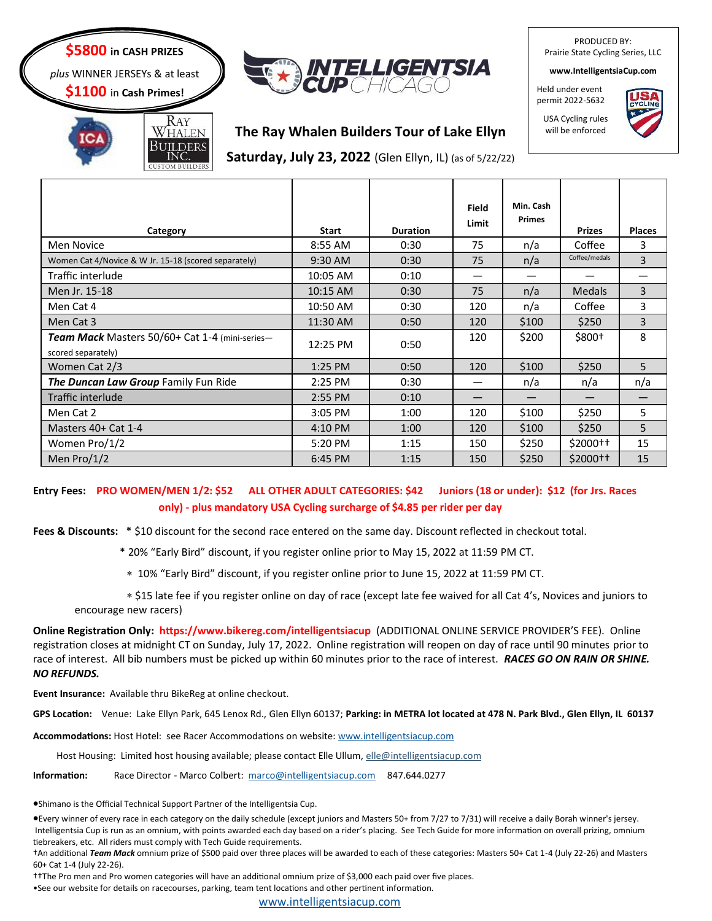## **\$5800 in CASH PRIZES**

*plus* WINNER JERSEYs & at least

**\$1100** in **Cash Primes!**



PRODUCED BY: Prairie State Cycling Series, LLC

**www.IntelligentsiaCup.com**

Held under event permit 2022-5632



Ray WHALEN

**The Ray Whalen Builders Tour of Lake Ellyn**

BUILDERS<br>INC. **Saturday, July 23, 2022** (Glen Ellyn, IL) (as of 5/22/22)

| Category                                                                    | <b>Start</b> | <b>Duration</b> | Field<br>Limit | Min. Cash<br><b>Primes</b> | <b>Prizes</b>       | <b>Places</b> |
|-----------------------------------------------------------------------------|--------------|-----------------|----------------|----------------------------|---------------------|---------------|
| Men Novice                                                                  | 8:55 AM      | 0:30            | 75             | n/a                        | Coffee              | 3             |
| Women Cat 4/Novice & W Jr. 15-18 (scored separately)                        | 9:30 AM      | 0:30            | 75             | n/a                        | Coffee/medals       | 3             |
| Traffic interlude                                                           | 10:05 AM     | 0:10            | —              |                            |                     |               |
| Men Jr. 15-18                                                               | 10:15 AM     | 0:30            | 75             | n/a                        | <b>Medals</b>       | 3             |
| Men Cat 4                                                                   | 10:50 AM     | 0:30            | 120            | n/a                        | Coffee              | 3             |
| Men Cat 3                                                                   | 11:30 AM     | 0:50            | 120            | \$100                      | \$250               | 3             |
| <b>Team Mack</b> Masters 50/60+ Cat 1-4 (mini-series-<br>scored separately) | 12:25 PM     | 0:50            | 120            | \$200                      | \$800+              | 8             |
| Women Cat 2/3                                                               | 1:25 PM      | 0:50            | 120            | \$100                      | \$250               | 5             |
| The Duncan Law Group Family Fun Ride                                        | 2:25 PM      | 0:30            | —              | n/a                        | n/a                 | n/a           |
| Traffic interlude                                                           | 2:55 PM      | 0:10            |                |                            |                     |               |
| Men Cat 2                                                                   | 3:05 PM      | 1:00            | 120            | \$100                      | \$250               | 5             |
| Masters 40+ Cat 1-4                                                         | 4:10 PM      | 1:00            | 120            | \$100                      | \$250               | 5             |
| Women Pro/1/2                                                               | 5:20 PM      | 1:15            | 150            | \$250                      | \$2000 <sup>†</sup> | 15            |
| Men Pro/1/2                                                                 | 6:45 PM      | 1:15            | 150            | \$250                      | \$2000 <sup>†</sup> | 15            |

#### **Entry Fees: PRO WOMEN/MEN 1/2: \$52 ALL OTHER ADULT CATEGORIES: \$42 Juniors (18 or under): \$12 (for Jrs. Races only) - plus mandatory USA Cycling surcharge of \$4.85 per rider per day**

**Fees & Discounts:** \* \$10 discount for the second race entered on the same day. Discount reflected in checkout total.

\* 20% "Early Bird" discount, if you register online prior to May 15, 2022 at 11:59 PM CT.

10% "Early Bird" discount, if you register online prior to June 15, 2022 at 11:59 PM CT.

 \$15 late fee if you register online on day of race (except late fee waived for all Cat 4's, Novices and juniors to encourage new racers)

**Online Registration Only: https://www.bikereg.com/intelligentsiacup** (ADDITIONAL ONLINE SERVICE PROVIDER'S FEE). Online registration closes at midnight CT on Sunday, July 17, 2022. Online registration will reopen on day of race until 90 minutes prior to race of interest. All bib numbers must be picked up within 60 minutes prior to the race of interest. *RACES GO ON RAIN OR SHINE. NO REFUNDS.* 

**Event Insurance:** Available thru BikeReg at online checkout.

**GPS Location:** Venue: Lake Ellyn Park, 645 Lenox Rd., Glen Ellyn 60137; **Parking: in METRA lot located at 478 N. Park Blvd., Glen Ellyn, IL 60137**

**Accommodations:** Host Hotel: see Racer Accommodations on website: [www.intelligentsiacup.com](http://www.intelligentsiacup.com) 

Host Housing: Limited host housing available; please contact Elle Ullum, elle@intelligentsiacup.com

**Information:** Race Director - Marco Colbert: [marco@intelligentsiacup.com](mailto:marco@intelligentsiacup.com) 847.644.0277

•Shimano is the Official Technical Support Partner of the Intelligentsia Cup.

•Every winner of every race in each category on the daily schedule (except juniors and Masters 50+ from 7/27 to 7/31) will receive a daily Borah winner's jersey. Intelligentsia Cup is run as an omnium, with points awarded each day based on a rider's placing. See Tech Guide for more information on overall prizing, omnium tiebreakers, etc. All riders must comply with Tech Guide requirements.

†An additional *Team Mack* omnium prize of \$500 paid over three places will be awarded to each of these categories: Masters 50+ Cat 1-4 (July 22-26) and Masters 60+ Cat 1-4 (July 22-26).

††The Pro men and Pro women categories will have an additional omnium prize of \$3,000 each paid over five places.

•See our website for details on racecourses, parking, team tent locations and other pertinent information.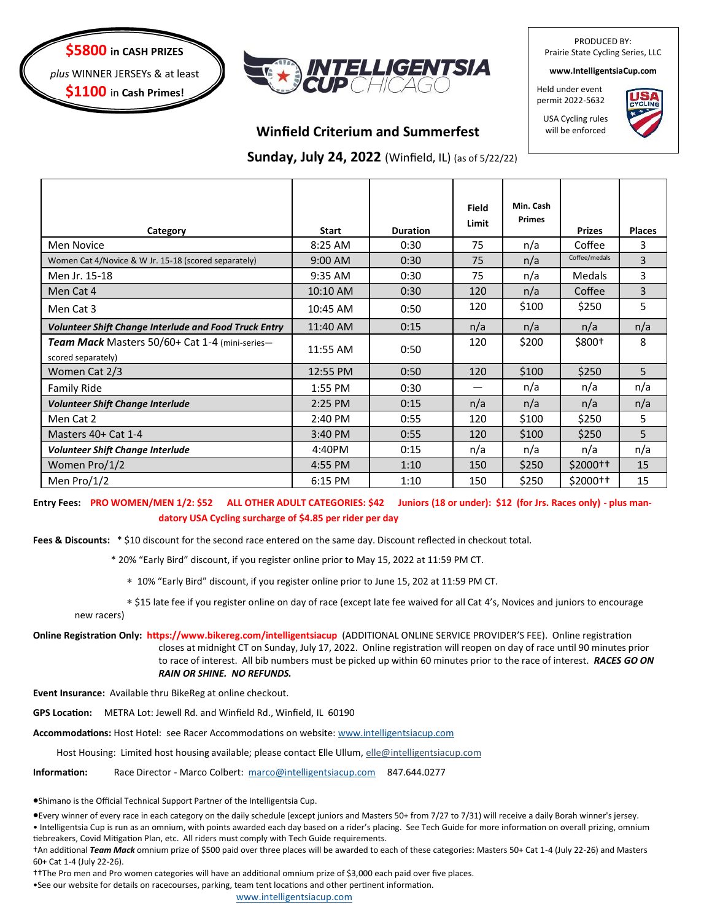



PRODUCED BY: Prairie State Cycling Series, LLC

**www.IntelligentsiaCup.com**

Held under event permit 2022-5632

USA Cycling rules will be enforced



**Winfield Criterium and Summerfest**

 **Sunday, July 24, 2022** (Winfield, IL) (as of 5/22/22)

| Category                                                             | <b>Start</b> | <b>Duration</b> | Field<br>Limit | Min. Cash<br><b>Primes</b> | <b>Prizes</b>       | <b>Places</b>  |
|----------------------------------------------------------------------|--------------|-----------------|----------------|----------------------------|---------------------|----------------|
| <b>Men Novice</b>                                                    | 8:25 AM      | 0:30            | 75             | n/a                        | Coffee              | 3              |
| Women Cat 4/Novice & W Jr. 15-18 (scored separately)                 | 9:00 AM      | 0:30            | 75             | n/a                        | Coffee/medals       | $\overline{3}$ |
| Men Jr. 15-18                                                        | 9:35 AM      | 0:30            | 75             | n/a                        | <b>Medals</b>       | 3              |
| Men Cat 4                                                            | 10:10 AM     | 0:30            | 120            | n/a                        | Coffee              | 3              |
| Men Cat 3                                                            | 10:45 AM     | 0:50            | 120            | \$100                      | \$250               | 5              |
| <b>Volunteer Shift Change Interlude and Food Truck Entry</b>         | 11:40 AM     | 0:15            | n/a            | n/a                        | n/a                 | n/a            |
| Team Mack Masters 50/60+ Cat 1-4 (mini-series-<br>scored separately) | 11:55 AM     | 0:50            | 120            | \$200                      | $$800+$             | 8              |
| Women Cat 2/3                                                        | 12:55 PM     | 0:50            | 120            | \$100                      | \$250               | 5              |
| <b>Family Ride</b>                                                   | 1:55 PM      | 0:30            |                | n/a                        | n/a                 | n/a            |
| <b>Volunteer Shift Change Interlude</b>                              | 2:25 PM      | 0:15            | n/a            | n/a                        | n/a                 | n/a            |
| Men Cat 2                                                            | 2:40 PM      | 0:55            | 120            | \$100                      | \$250               | 5              |
| Masters 40+ Cat 1-4                                                  | 3:40 PM      | 0:55            | 120            | \$100                      | \$250               | 5              |
| Volunteer Shift Change Interlude                                     | 4:40PM       | 0:15            | n/a            | n/a                        | n/a                 | n/a            |
| Women Pro/1/2                                                        | 4:55 PM      | 1:10            | 150            | \$250                      | \$2000 <sup>†</sup> | 15             |
| Men Pro/ $1/2$                                                       | 6:15 PM      | 1:10            | 150            | \$250                      | \$2000 <sup>†</sup> | 15             |

**Entry Fees: PRO WOMEN/MEN 1/2: \$52 ALL OTHER ADULT CATEGORIES: \$42 Juniors (18 or under): \$12 (for Jrs. Races only) - plus mandatory USA Cycling surcharge of \$4.85 per rider per day**

**Fees & Discounts:** \* \$10 discount for the second race entered on the same day. Discount reflected in checkout total.

- \* 20% "Early Bird" discount, if you register online prior to May 15, 2022 at 11:59 PM CT.
	- 10% "Early Bird" discount, if you register online prior to June 15, 202 at 11:59 PM CT.
- \$15 late fee if you register online on day of race (except late fee waived for all Cat 4's, Novices and juniors to encourage new racers)
- **Online Registration Only: https://www.bikereg.com/intelligentsiacup** (ADDITIONAL ONLINE SERVICE PROVIDER'S FEE). Online registration closes at midnight CT on Sunday, July 17, 2022. Online registration will reopen on day of race until 90 minutes prior to race of interest. All bib numbers must be picked up within 60 minutes prior to the race of interest. *RACES GO ON RAIN OR SHINE. NO REFUNDS.*

**Event Insurance:** Available thru BikeReg at online checkout.

**GPS Location:** METRA Lot: Jewell Rd. and Winfield Rd., Winfield, IL 60190

**Accommodations:** Host Hotel: see Racer Accommodations on website: [www.intelligentsiacup.com](http://www.intelligentsiacup.com) 

Host Housing: Limited host housing available; please contact Elle Ullum, elle@intelligentsiacup.com

**Information:** Race Director - Marco Colbert: [marco@intelligentsiacup.com](mailto:marco@intelligentsiacup.com) 847.644.0277

•Shimano is the Official Technical Support Partner of the Intelligentsia Cup.

•Every winner of every race in each category on the daily schedule (except juniors and Masters 50+ from 7/27 to 7/31) will receive a daily Borah winner's jersey.

• Intelligentsia Cup is run as an omnium, with points awarded each day based on a rider's placing. See Tech Guide for more information on overall prizing, omnium tiebreakers, Covid Mitigation Plan, etc. All riders must comply with Tech Guide requirements.

†An additional *Team Mack* omnium prize of \$500 paid over three places will be awarded to each of these categories: Masters 50+ Cat 1-4 (July 22-26) and Masters 60+ Cat 1-4 (July 22-26).

††The Pro men and Pro women categories will have an additional omnium prize of \$3,000 each paid over five places.

•See our website for details on racecourses, parking, team tent locations and other pertinent information.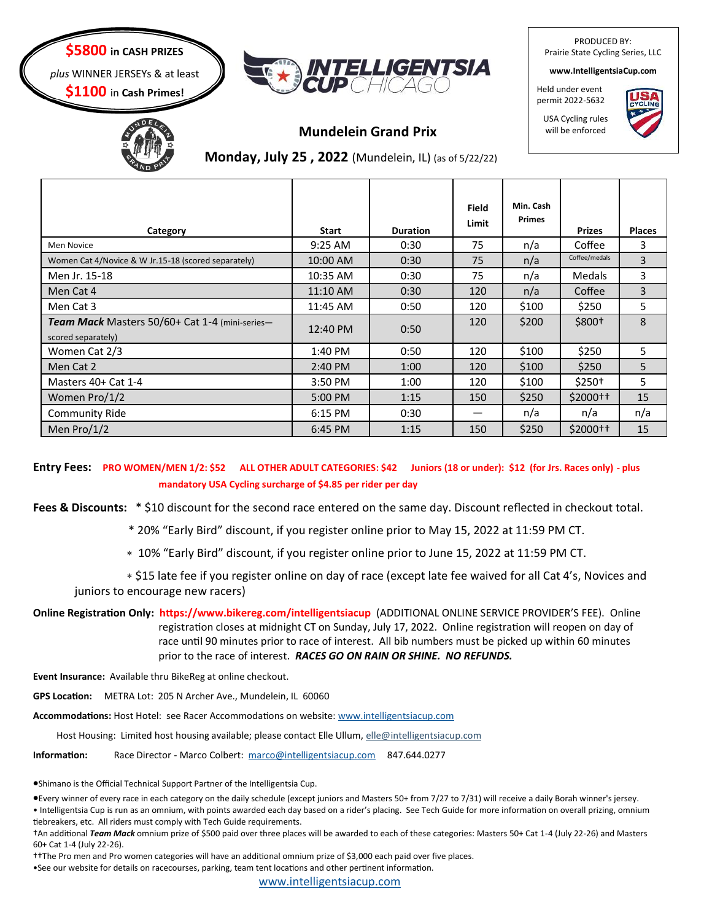## **\$5800 in CASH PRIZES**

*plus* WINNER JERSEYs & at least

**\$1100** in **Cash Primes!**





# **Mundelein Grand Prix**

# **Monday, July 25 , 2022** (Mundelein, IL) (as of 5/22/22)

| Category                                                                    | <b>Start</b> | <b>Duration</b> | Field<br>Limit | Min. Cash<br><b>Primes</b> | <b>Prizes</b>       | <b>Places</b>  |
|-----------------------------------------------------------------------------|--------------|-----------------|----------------|----------------------------|---------------------|----------------|
| Men Novice                                                                  | $9:25$ AM    | 0:30            | 75             | n/a                        | Coffee              | 3              |
| Women Cat 4/Novice & W Jr.15-18 (scored separately)                         | 10:00 AM     | 0:30            | 75             | n/a                        | Coffee/medals       | $\overline{3}$ |
| Men Jr. 15-18                                                               | 10:35 AM     | 0:30            | 75             | n/a                        | <b>Medals</b>       | 3              |
| Men Cat 4                                                                   | 11:10 AM     | 0:30            | 120            | n/a                        | Coffee              | 3              |
| Men Cat 3                                                                   | 11:45 AM     | 0:50            | 120            | \$100                      | \$250               | 5              |
| <b>Team Mack</b> Masters 50/60+ Cat 1-4 (mini-series-<br>scored separately) | 12:40 PM     | 0:50            | 120            | \$200                      | $$800+$             | 8              |
| Women Cat 2/3                                                               | 1:40 PM      | 0:50            | 120            | \$100                      | \$250               | 5.             |
| Men Cat 2                                                                   | 2:40 PM      | 1:00            | 120            | \$100                      | \$250               | 5              |
| Masters 40+ Cat 1-4                                                         | 3:50 PM      | 1:00            | 120            | \$100                      | \$250†              | 5.             |
| Women Pro/1/2                                                               | 5:00 PM      | 1:15            | 150            | \$250                      | $$2000+$            | 15             |
| Community Ride                                                              | 6:15 PM      | 0:30            |                | n/a                        | n/a                 | n/a            |
| Men $Pro/1/2$                                                               | 6:45 PM      | 1:15            | 150            | \$250                      | \$2000 <sup>†</sup> | 15             |

**Entry Fees: PRO WOMEN/MEN 1/2: \$52 ALL OTHER ADULT CATEGORIES: \$42 Juniors (18 or under): \$12 (for Jrs. Races only) - plus mandatory USA Cycling surcharge of \$4.85 per rider per day**

**Fees & Discounts:** \* \$10 discount for the second race entered on the same day. Discount reflected in checkout total.

\* 20% "Early Bird" discount, if you register online prior to May 15, 2022 at 11:59 PM CT.

10% "Early Bird" discount, if you register online prior to June 15, 2022 at 11:59 PM CT.

 \$15 late fee if you register online on day of race (except late fee waived for all Cat 4's, Novices and juniors to encourage new racers)

**Online Registration Only: https://www.bikereg.com/intelligentsiacup** (ADDITIONAL ONLINE SERVICE PROVIDER'S FEE). Online registration closes at midnight CT on Sunday, July 17, 2022. Online registration will reopen on day of race until 90 minutes prior to race of interest. All bib numbers must be picked up within 60 minutes prior to the race of interest. *RACES GO ON RAIN OR SHINE. NO REFUNDS.* 

**Event Insurance:** Available thru BikeReg at online checkout.

**GPS Location:** METRA Lot: 205 N Archer Ave., Mundelein, IL 60060

**Accommodations:** Host Hotel: see Racer Accommodations on website: [www.intelligentsiacup.com](http://www.intelligentsiacup.com) 

Host Housing: Limited host housing available; please contact Elle Ullum, elle@intelligentsiacup.com

**Information:** Race Director - Marco Colbert: [marco@intelligentsiacup.com](mailto:marco@intelligentsiacup.com) 847.644.0277

•Shimano is the Official Technical Support Partner of the Intelligentsia Cup.

•Every winner of every race in each category on the daily schedule (except juniors and Masters 50+ from 7/27 to 7/31) will receive a daily Borah winner's jersey.

• Intelligentsia Cup is run as an omnium, with points awarded each day based on a rider's placing. See Tech Guide for more information on overall prizing, omnium tiebreakers, etc. All riders must comply with Tech Guide requirements.

†An additional *Team Mack* omnium prize of \$500 paid over three places will be awarded to each of these categories: Masters 50+ Cat 1-4 (July 22-26) and Masters 60+ Cat 1-4 (July 22-26).

††The Pro men and Pro women categories will have an additional omnium prize of \$3,000 each paid over five places.

•See our website for details on racecourses, parking, team tent locations and other pertinent information.

[www.intelligentsiacup.com](http://www.intelligentsiacup.com) 

PRODUCED BY: Prairie State Cycling Series, LLC

**www.IntelligentsiaCup.com**

Held under event permit 2022-5632

USA Cycling rules will be enforced

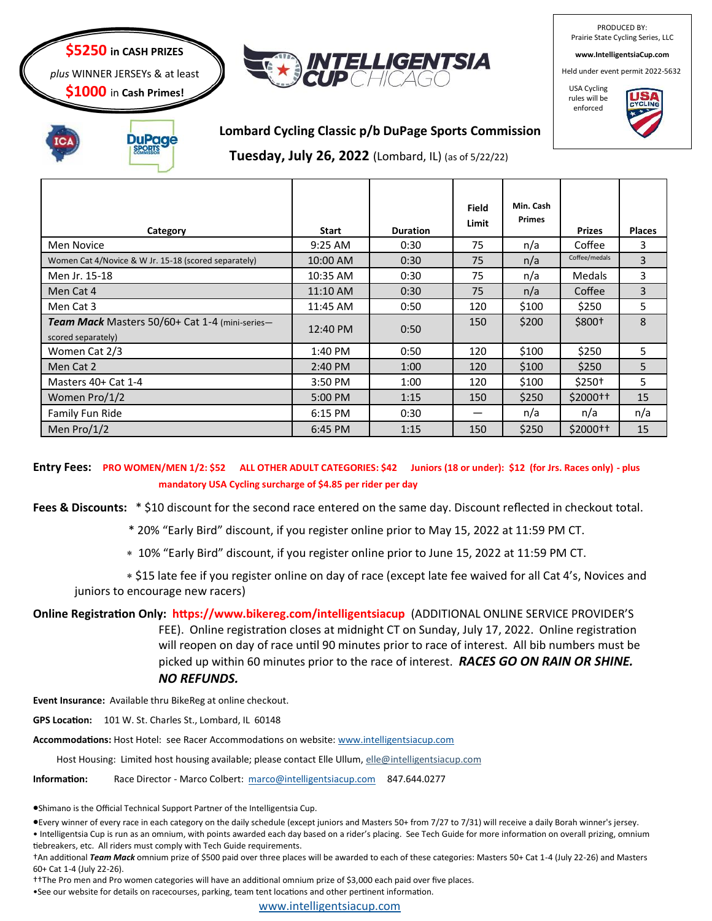#### **\$5250 in CASH PRIZES**

*plus* WINNER JERSEYs & at least

**\$1000** in **Cash Primes!**



PRODUCED BY: Prairie State Cycling Series, LLC

**www.IntelligentsiaCup.com**

Held under event permit 2022-5632

USA Cycling rules will be enforced





## **Lombard Cycling Classic p/b DuPage Sports Commission**

**Tuesday, July 26, 2022** (Lombard, IL) (as of 5/22/22)

| Category                                                                    | <b>Start</b> | <b>Duration</b> | <b>Field</b><br>Limit | Min. Cash<br><b>Primes</b> | <b>Prizes</b>       | <b>Places</b> |
|-----------------------------------------------------------------------------|--------------|-----------------|-----------------------|----------------------------|---------------------|---------------|
| Men Novice                                                                  | $9:25$ AM    | 0:30            | 75                    | n/a                        | Coffee              | 3             |
| Women Cat 4/Novice & W Jr. 15-18 (scored separately)                        | 10:00 AM     | 0:30            | 75                    | n/a                        | Coffee/medals       | 3             |
| Men Jr. 15-18                                                               | 10:35 AM     | 0:30            | 75                    | n/a                        | <b>Medals</b>       | 3             |
| Men Cat 4                                                                   | 11:10 AM     | 0:30            | 75                    | n/a                        | Coffee              | 3             |
| Men Cat 3                                                                   | 11:45 AM     | 0:50            | 120                   | \$100                      | \$250               | 5             |
| <b>Team Mack</b> Masters 50/60+ Cat 1-4 (mini-series-<br>scored separately) | 12:40 PM     | 0:50            | 150                   | \$200                      | $$800+$             | 8             |
| Women Cat 2/3                                                               | $1:40$ PM    | 0:50            | 120                   | \$100                      | \$250               | 5             |
| Men Cat 2                                                                   | 2:40 PM      | 1:00            | 120                   | \$100                      | \$250               | 5             |
| Masters 40+ Cat 1-4                                                         | 3:50 PM      | 1:00            | 120                   | \$100                      | $$250+$             | 5             |
| Women Pro/1/2                                                               | 5:00 PM      | 1:15            | 150                   | \$250                      | $$2000+$            | 15            |
| Family Fun Ride                                                             | 6:15 PM      | 0:30            | —                     | n/a                        | n/a                 | n/a           |
| Men $Pro/1/2$                                                               | 6:45 PM      | 1:15            | 150                   | \$250                      | \$2000 <sup>†</sup> | 15            |

**Entry Fees: PRO WOMEN/MEN 1/2: \$52 ALL OTHER ADULT CATEGORIES: \$42 Juniors (18 or under): \$12 (for Jrs. Races only) - plus mandatory USA Cycling surcharge of \$4.85 per rider per day**

Fees & Discounts: \* \$10 discount for the second race entered on the same day. Discount reflected in checkout total.

\* 20% "Early Bird" discount, if you register online prior to May 15, 2022 at 11:59 PM CT.

10% "Early Bird" discount, if you register online prior to June 15, 2022 at 11:59 PM CT.

 \$15 late fee if you register online on day of race (except late fee waived for all Cat 4's, Novices and juniors to encourage new racers)

**Online Registration Only: https://www.bikereg.com/intelligentsiacup** (ADDITIONAL ONLINE SERVICE PROVIDER'S FEE). Online registration closes at midnight CT on Sunday, July 17, 2022. Online registration will reopen on day of race until 90 minutes prior to race of interest. All bib numbers must be picked up within 60 minutes prior to the race of interest. *RACES GO ON RAIN OR SHINE. NO REFUNDS.* 

**Event Insurance:** Available thru BikeReg at online checkout.

**GPS Location:** 101 W. St. Charles St., Lombard, IL 60148

**Accommodations:** Host Hotel: see Racer Accommodations on website: [www.intelligentsiacup.com](http://www.intelligentsiacup.com) 

Host Housing: Limited host housing available; please contact Elle Ullum, elle@intelligentsiacup.com

**Information:** Race Director - Marco Colbert: [marco@intelligentsiacup.com](mailto:marco@intelligentsiacup.com) 847.644.0277

•Shimano is the Official Technical Support Partner of the Intelligentsia Cup.

•Every winner of every race in each category on the daily schedule (except juniors and Masters 50+ from 7/27 to 7/31) will receive a daily Borah winner's jersey. • Intelligentsia Cup is run as an omnium, with points awarded each day based on a rider's placing. See Tech Guide for more information on overall prizing, omnium tiebreakers, etc. All riders must comply with Tech Guide requirements.

†An additional *Team Mack* omnium prize of \$500 paid over three places will be awarded to each of these categories: Masters 50+ Cat 1-4 (July 22-26) and Masters 60+ Cat 1-4 (July 22-26).

††The Pro men and Pro women categories will have an additional omnium prize of \$3,000 each paid over five places.

•See our website for details on racecourses, parking, team tent locations and other pertinent information.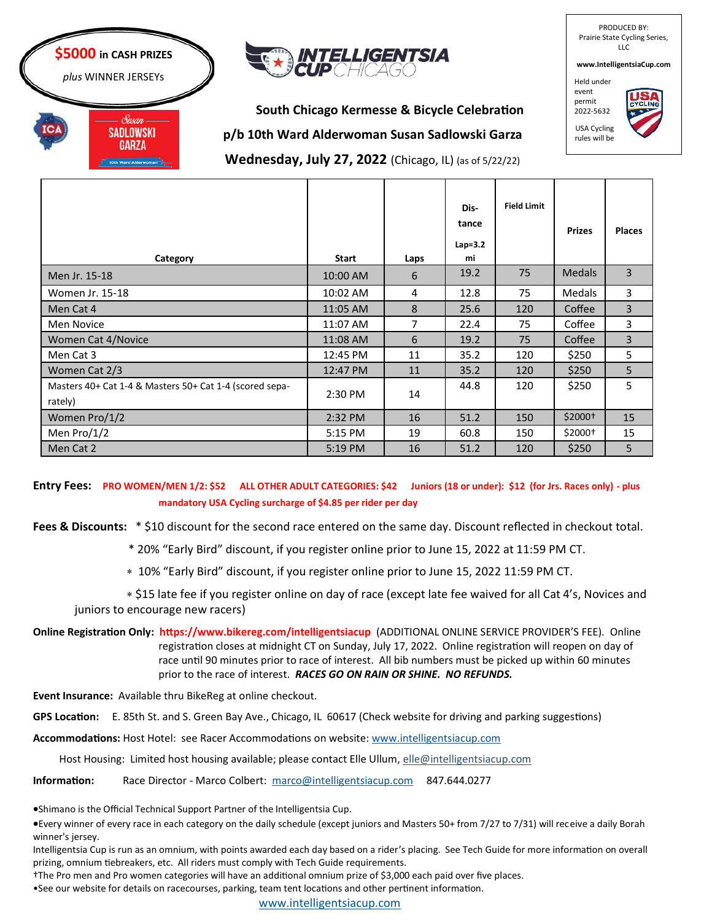



PRODUCED BY: Prairie State Cycling Series, LLC **www.IntelligentsiaCup.com**

**South Chicago Kermesse & Bicycle Celebration p/b 10th Ward Alderwoman Susan Sadlowski Garza Wednesday, July 27, 2022** (Chicago, IL) (as of 5/22/22)

Held under event permit 2022-5632



**Category Start Laps Distance Lap=3.2 mi Field Limit Prizes Places** Men Jr. 15-18 10:00 AM 6 19.2 75 Medals 3 Women Jr. 15-18 10:02 AM 4 10:02 AM 4 12.8 75 Medals 3 Men Cat 4 11:05 AM 8 25.6 120 Coffee 3 Men Novice 11:07 AM 7 22.4 75 Coffee 3 Women Cat 4/Novice **11:08 AM 6 11:08 AM 6 19.2 75 Coffee** 3 Men Cat 3 12:45 PM 11 35.2 120 \$250 5 Women Cat 2/3 12:47 PM 12:47 PM 11 35.2 120 \$250 5 Masters 40+ Cat 1-4 & Masters 50+ Cat 1-4 (scored separately)  $\begin{bmatrix} 2.30 \text{ PM} \end{bmatrix}$  14 44.8 | 120 | \$250 | 5 Women Pro/1/2 2:32 PM 16 51.2 150 \$2000 15 Men Pro/1/2 5:15 PM 19 60.8 150 \$2000† 15 Men Cat 2 5:19 PM 16 51.2 120 \$250 5

**Entry Fees: PRO WOMEN/MEN 1/2: \$52 ALL OTHER ADULT CATEGORIES: \$42 Juniors (18 or under): \$12 (for Jrs. Races only) - plus mandatory USA Cycling surcharge of \$4.85 per rider per day**

**Fees & Discounts:** \* \$10 discount for the second race entered on the same day. Discount reflected in checkout total.

\* 20% "Early Bird" discount, if you register online prior to June 15, 2022 at 11:59 PM CT.

10% "Early Bird" discount, if you register online prior to June 15, 2022 11:59 PM CT.

 \$15 late fee if you register online on day of race (except late fee waived for all Cat 4's, Novices and juniors to encourage new racers)

**Online Registration Only: https://www.bikereg.com/intelligentsiacup** (ADDITIONAL ONLINE SERVICE PROVIDER'S FEE). Online registration closes at midnight CT on Sunday, July 17, 2022. Online registration will reopen on day of race until 90 minutes prior to race of interest. All bib numbers must be picked up within 60 minutes prior to the race of interest. *RACES GO ON RAIN OR SHINE. NO REFUNDS.* 

**Event Insurance:** Available thru BikeReg at online checkout.

**GPS Location:** E. 85th St. and S. Green Bay Ave., Chicago, IL 60617 (Check website for driving and parking suggestions)

**Accommodations:** Host Hotel: see Racer Accommodations on website: [www.intelligentsiacup.com](http://www.intelligentsiacup.com) 

Host Housing: Limited host housing available; please contact Elle Ullum, elle@intelligentsiacup.com

**Information:** Race Director - Marco Colbert: [marco@intelligentsiacup.com](mailto:marco@intelligentsiacup.com) 847.644.0277

•Shimano is the Official Technical Support Partner of the Intelligentsia Cup.

•Every winner of every race in each category on the daily schedule (except juniors and Masters 50+ from 7/27 to 7/31) will receive a daily Borah winner's jersey.

Intelligentsia Cup is run as an omnium, with points awarded each day based on a rider's placing. See Tech Guide for more information on overall prizing, omnium tiebreakers, etc. All riders must comply with Tech Guide requirements.

†The Pro men and Pro women categories will have an additional omnium prize of \$3,000 each paid over five places.

•See our website for details on racecourses, parking, team tent locations and other pertinent information.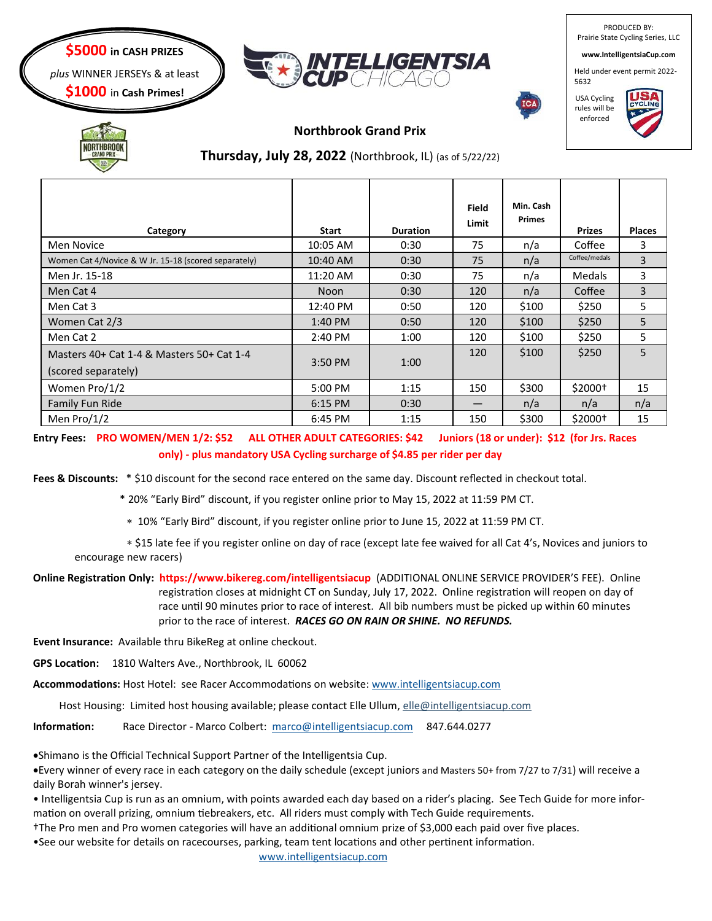

PRODUCED BY: Prairie State Cycling Series, LLC

**www.IntelligentsiaCup.com**

Held under event permit 2022- 5632



USA Cycling rules will be enforced





#### **Northbrook Grand Prix**

# **Thursday, July 28, 2022** (Northbrook, IL) (as of 5/22/22)

| Category                                             | <b>Start</b>      | <b>Duration</b> | <b>Field</b><br>Limit | Min. Cash<br><b>Primes</b> | <b>Prizes</b> | <b>Places</b> |
|------------------------------------------------------|-------------------|-----------------|-----------------------|----------------------------|---------------|---------------|
| Men Novice                                           | 10:05 AM          | 0:30            | 75                    | n/a                        | Coffee        | 3             |
| Women Cat 4/Novice & W Jr. 15-18 (scored separately) | 10:40 AM          | 0:30            | 75                    | n/a                        | Coffee/medals | 3             |
| Men Jr. 15-18                                        | 11:20 AM          | 0:30            | 75                    | n/a                        | Medals        | 3             |
| Men Cat 4                                            | <b>Noon</b>       | 0:30            | 120                   | n/a                        | Coffee        | 3             |
| Men Cat 3                                            | 12:40 PM          | 0:50            | 120                   | \$100                      | \$250         | 5             |
| Women Cat 2/3                                        | $1:40 \text{ PM}$ | 0:50            | 120                   | \$100                      | \$250         | 5             |
| Men Cat 2                                            | 2:40 PM           | 1:00            | 120                   | \$100                      | \$250         | 5             |
| Masters 40+ Cat 1-4 & Masters 50+ Cat 1-4            |                   |                 | 120                   | \$100                      | \$250         | 5             |
| (scored separately)                                  | 3:50 PM           | 1:00            |                       |                            |               |               |
| Women Pro/1/2                                        | 5:00 PM           | 1:15            | 150                   | \$300                      | \$2000+       | 15            |
| Family Fun Ride                                      | 6:15 PM           | 0:30            |                       | n/a                        | n/a           | n/a           |
| Men Pro/1/2                                          | 6:45 PM           | 1:15            | 150                   | \$300                      | $$2000+$      | 15            |

**Entry Fees: PRO WOMEN/MEN 1/2: \$52 ALL OTHER ADULT CATEGORIES: \$42 Juniors (18 or under): \$12 (for Jrs. Races only) - plus mandatory USA Cycling surcharge of \$4.85 per rider per day**

**Fees & Discounts:** \* \$10 discount for the second race entered on the same day. Discount reflected in checkout total.

\* 20% "Early Bird" discount, if you register online prior to May 15, 2022 at 11:59 PM CT.

10% "Early Bird" discount, if you register online prior to June 15, 2022 at 11:59 PM CT.

 \$15 late fee if you register online on day of race (except late fee waived for all Cat 4's, Novices and juniors to encourage new racers)

**Online Registration Only: https://www.bikereg.com/intelligentsiacup** (ADDITIONAL ONLINE SERVICE PROVIDER'S FEE). Online registration closes at midnight CT on Sunday, July 17, 2022. Online registration will reopen on day of race until 90 minutes prior to race of interest. All bib numbers must be picked up within 60 minutes prior to the race of interest. *RACES GO ON RAIN OR SHINE. NO REFUNDS.* 

**Event Insurance:** Available thru BikeReg at online checkout.

**GPS Location:** 1810 Walters Ave., Northbrook, IL 60062

**Accommodations:** Host Hotel: see Racer Accommodations on website: [www.intelligentsiacup.com](http://www.intelligentsiacup.com) 

Host Housing: Limited host housing available; please contact Elle Ullum, elle@intelligentsiacup.com

**Information:** Race Director - Marco Colbert: [marco@intelligentsiacup.com](mailto:marco@intelligentsiacup.com) 847.644.0277

•Shimano is the Official Technical Support Partner of the Intelligentsia Cup.

•Every winner of every race in each category on the daily schedule (except juniors and Masters 50+ from 7/27 to 7/31) will receive a daily Borah winner's jersey.

• Intelligentsia Cup is run as an omnium, with points awarded each day based on a rider's placing. See Tech Guide for more information on overall prizing, omnium tiebreakers, etc. All riders must comply with Tech Guide requirements.

†The Pro men and Pro women categories will have an additional omnium prize of \$3,000 each paid over five places.

•See our website for details on racecourses, parking, team tent locations and other pertinent information. [www.intelligentsiacup.com](http://www.intelligentsiacup.com)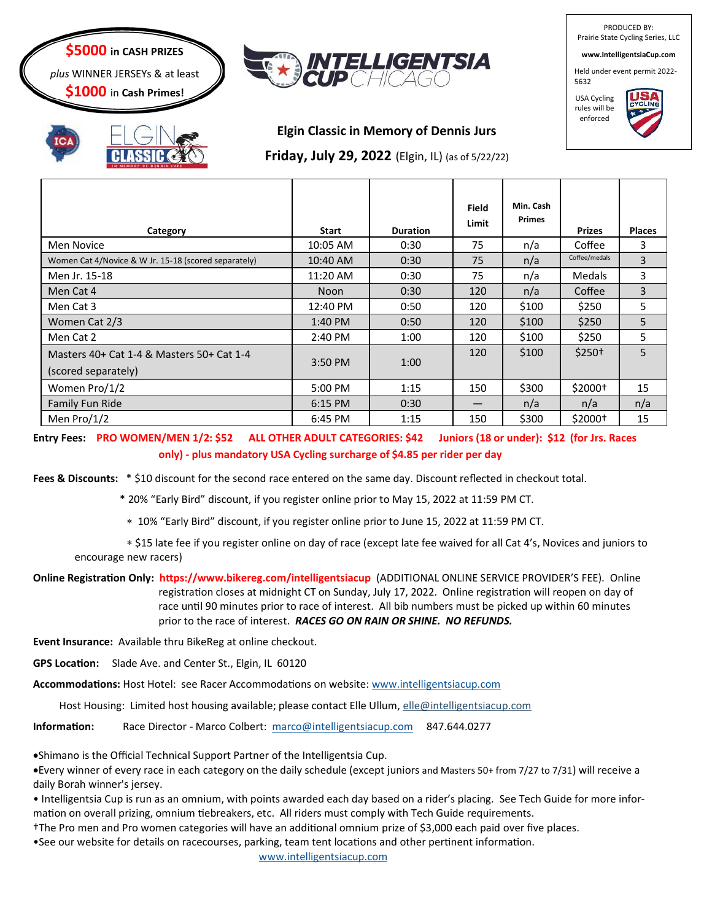

*plus* WINNER JERSEYs & at least

**\$1000** in **Cash Primes!**



PRODUCED BY: Prairie State Cycling Series, LLC **www.IntelligentsiaCup.com**

Held under event permit 2022-

5632 USA Cycling rules will be

enforced



# **Elgin Classic in Memory of Dennis Jurs**

**Friday, July 29, 2022** (Elgin, IL) (as of 5/22/22)

| Category                                             | Start       | <b>Duration</b> | Field<br>Limit | Min. Cash<br><b>Primes</b> | <b>Prizes</b> | <b>Places</b> |
|------------------------------------------------------|-------------|-----------------|----------------|----------------------------|---------------|---------------|
| <b>Men Novice</b>                                    | 10:05 AM    | 0:30            | 75             | n/a                        | Coffee        | 3             |
| Women Cat 4/Novice & W Jr. 15-18 (scored separately) | 10:40 AM    | 0:30            | 75             | n/a                        | Coffee/medals | 3             |
| Men Jr. 15-18                                        | 11:20 AM    | 0:30            | 75             | n/a                        | Medals        | 3             |
| Men Cat 4                                            | <b>Noon</b> | 0:30            | 120            | n/a                        | Coffee        | 3             |
| Men Cat 3                                            | 12:40 PM    | 0:50            | 120            | \$100                      | \$250         | 5             |
| Women Cat 2/3                                        | $1:40$ PM   | 0:50            | 120            | \$100                      | \$250         | 5             |
| Men Cat 2                                            | 2:40 PM     | 1:00            | 120            | \$100                      | \$250         | 5             |
| Masters 40+ Cat 1-4 & Masters 50+ Cat 1-4            | 3:50 PM     | 1:00            | 120            | \$100                      | $$250+$       | 5             |
| (scored separately)                                  |             |                 |                |                            |               |               |
| Women Pro/1/2                                        | 5:00 PM     | 1:15            | 150            | \$300                      | $$2000+$      | 15            |
| Family Fun Ride                                      | 6:15 PM     | 0:30            |                | n/a                        | n/a           | n/a           |
| Men Pro/1/2                                          | 6:45 PM     | 1:15            | 150            | \$300                      | \$2000+       | 15            |

**Entry Fees: PRO WOMEN/MEN 1/2: \$52 ALL OTHER ADULT CATEGORIES: \$42 Juniors (18 or under): \$12 (for Jrs. Races only) - plus mandatory USA Cycling surcharge of \$4.85 per rider per day**

**Fees & Discounts:** \* \$10 discount for the second race entered on the same day. Discount reflected in checkout total.

\* 20% "Early Bird" discount, if you register online prior to May 15, 2022 at 11:59 PM CT.

10% "Early Bird" discount, if you register online prior to June 15, 2022 at 11:59 PM CT.

 \$15 late fee if you register online on day of race (except late fee waived for all Cat 4's, Novices and juniors to encourage new racers)

**Online Registration Only: https://www.bikereg.com/intelligentsiacup** (ADDITIONAL ONLINE SERVICE PROVIDER'S FEE). Online registration closes at midnight CT on Sunday, July 17, 2022. Online registration will reopen on day of race until 90 minutes prior to race of interest. All bib numbers must be picked up within 60 minutes prior to the race of interest. *RACES GO ON RAIN OR SHINE. NO REFUNDS.* 

**Event Insurance:** Available thru BikeReg at online checkout.

**GPS Location:** Slade Ave. and Center St., Elgin, IL 60120

**Accommodations:** Host Hotel: see Racer Accommodations on website: [www.intelligentsiacup.com](http://www.intelligentsiacup.com) 

Host Housing: Limited host housing available; please contact Elle Ullum, elle@intelligentsiacup.com

**Information:** Race Director - Marco Colbert: [marco@intelligentsiacup.com](mailto:marco@intelligentsiacup.com) 847.644.0277

•Shimano is the Official Technical Support Partner of the Intelligentsia Cup.

•Every winner of every race in each category on the daily schedule (except juniors and Masters 50+ from 7/27 to 7/31) will receive a daily Borah winner's jersey.

• Intelligentsia Cup is run as an omnium, with points awarded each day based on a rider's placing. See Tech Guide for more information on overall prizing, omnium tiebreakers, etc. All riders must comply with Tech Guide requirements.

†The Pro men and Pro women categories will have an additional omnium prize of \$3,000 each paid over five places.

•See our website for details on racecourses, parking, team tent locations and other pertinent information. [www.intelligentsiacup.com](http://www.intelligentsiacup.com)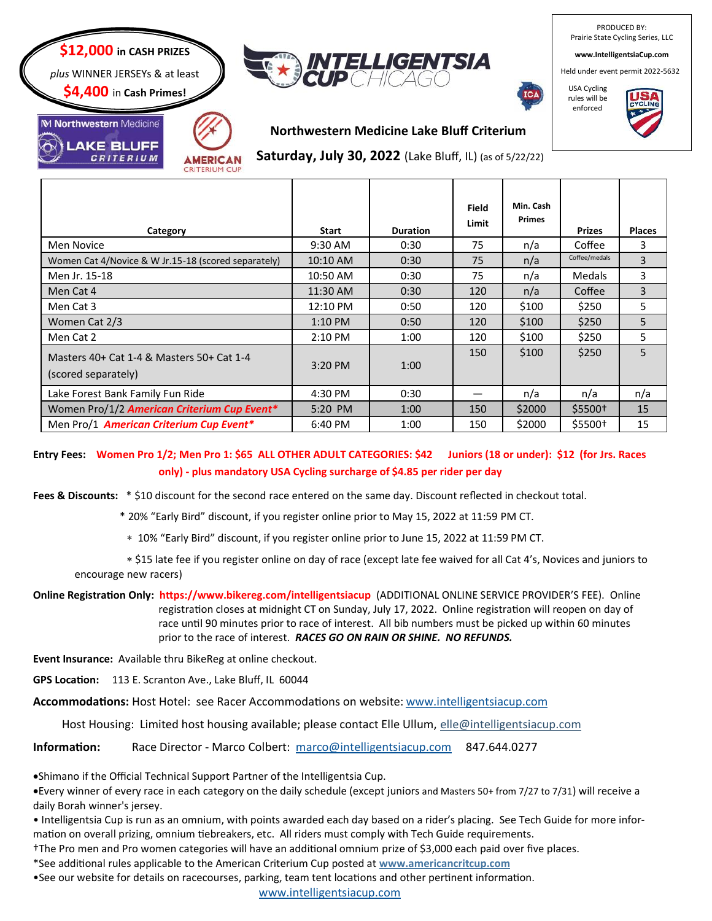

**MERICAN CRITERIUM CU** 

**\$4,400** in **Cash Primes!**

**AKE BLUFF** CRITERIUM

M Northwestern Medicine



PRODUCED BY: Prairie State Cycling Series, LLC

**www.IntelligentsiaCup.com**

Held under event permit 2022-5632



USA Cycling rules will be enforced



## **Northwestern Medicine Lake Bluff Criterium**

**Saturday, July 30, 2022** (Lake Bluff, IL) (as of 5/22/22)

| Category                                                         | <b>Start</b> | <b>Duration</b> | Field<br>Limit | Min. Cash<br><b>Primes</b> | <b>Prizes</b> | <b>Places</b> |
|------------------------------------------------------------------|--------------|-----------------|----------------|----------------------------|---------------|---------------|
| Men Novice                                                       | 9:30 AM      | 0:30            | 75             | n/a                        | Coffee        | 3             |
| Women Cat 4/Novice & W Jr.15-18 (scored separately)              | 10:10 AM     | 0:30            | 75             | n/a                        | Coffee/medals | 3             |
| Men Jr. 15-18                                                    | 10:50 AM     | 0:30            | 75             | n/a                        | <b>Medals</b> | 3             |
| Men Cat 4                                                        | 11:30 AM     | 0:30            | 120            | n/a                        | Coffee        | 3             |
| Men Cat 3                                                        | 12:10 PM     | 0:50            | 120            | \$100                      | \$250         | 5             |
| Women Cat 2/3                                                    | $1:10$ PM    | 0:50            | 120            | \$100                      | \$250         | 5             |
| Men Cat 2                                                        | 2:10 PM      | 1:00            | 120            | \$100                      | \$250         | 5             |
| Masters 40+ Cat 1-4 & Masters 50+ Cat 1-4<br>(scored separately) | $3:20$ PM    | 1:00            | 150            | \$100                      | \$250         | 5             |
| Lake Forest Bank Family Fun Ride                                 | 4:30 PM      | 0:30            |                | n/a                        | n/a           | n/a           |
| Women Pro/1/2 American Criterium Cup Event*                      | 5:20 PM      | 1:00            | 150            | \$2000                     | \$5500+       | 15            |
| Men Pro/1 American Criterium Cup Event*                          | 6:40 PM      | 1:00            | 150            | \$2000                     | \$5500+       | 15            |

**Entry Fees: Women Pro 1/2; Men Pro 1: \$65 ALL OTHER ADULT CATEGORIES: \$42 Juniors (18 or under): \$12 (for Jrs. Races only) - plus mandatory USA Cycling surcharge of \$4.85 per rider per day**

**Fees & Discounts:** \* \$10 discount for the second race entered on the same day. Discount reflected in checkout total.

\* 20% "Early Bird" discount, if you register online prior to May 15, 2022 at 11:59 PM CT.

10% "Early Bird" discount, if you register online prior to June 15, 2022 at 11:59 PM CT.

 \$15 late fee if you register online on day of race (except late fee waived for all Cat 4's, Novices and juniors to encourage new racers)

**Online Registration Only: https://www.bikereg.com/intelligentsiacup** (ADDITIONAL ONLINE SERVICE PROVIDER'S FEE). Online registration closes at midnight CT on Sunday, July 17, 2022. Online registration will reopen on day of race until 90 minutes prior to race of interest. All bib numbers must be picked up within 60 minutes prior to the race of interest. *RACES GO ON RAIN OR SHINE. NO REFUNDS.* 

**Event Insurance:** Available thru BikeReg at online checkout.

**GPS Location:** 113 E. Scranton Ave., Lake Bluff, IL 60044

**Accommodations:** Host Hotel: see Racer Accommodations on website: [www.intelligentsiacup.com](http://www.intelligentsiacup.com) 

Host Housing: Limited host housing available; please contact Elle Ullum, elle@intelligentsiacup.com

**Information:** Race Director - Marco Colbert: [marco@intelligentsiacup.com](mailto:marco@intelligentsiacup.com) 847.644.0277

•Shimano if the Official Technical Support Partner of the Intelligentsia Cup.

•Every winner of every race in each category on the daily schedule (except juniors and Masters 50+ from 7/27 to 7/31) will receive a daily Borah winner's jersey.

• Intelligentsia Cup is run as an omnium, with points awarded each day based on a rider's placing. See Tech Guide for more information on overall prizing, omnium tiebreakers, etc. All riders must comply with Tech Guide requirements.

†The Pro men and Pro women categories will have an additional omnium prize of \$3,000 each paid over five places.

\*See additional rules applicable to the American Criterium Cup posted at **www.americancritcup.com** 

•See our website for details on racecourses, parking, team tent locations and other pertinent information.